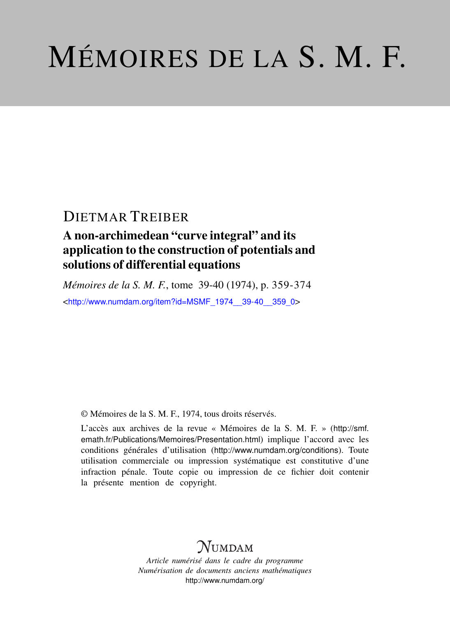# MÉMOIRES DE LA S. M. F.

## DIETMAR TREIBER

### A non-archimedean "curve integral" and its application to the construction of potentials and solutions of differential equations

*Mémoires de la S. M. F.*, tome 39-40 (1974), p. 359-374 <[http://www.numdam.org/item?id=MSMF\\_1974\\_\\_39-40\\_\\_359\\_0](http://www.numdam.org/item?id=MSMF_1974__39-40__359_0)>

© Mémoires de la S. M. F., 1974, tous droits réservés.

L'accès aux archives de la revue « Mémoires de la S. M. F. » ([http://smf.](http://smf.emath.fr/Publications/Memoires/Presentation.html) [emath.fr/Publications/Memoires/Presentation.html](http://smf.emath.fr/Publications/Memoires/Presentation.html)) implique l'accord avec les conditions générales d'utilisation (<http://www.numdam.org/conditions>). Toute utilisation commerciale ou impression systématique est constitutive d'une infraction pénale. Toute copie ou impression de ce fichier doit contenir la présente mention de copyright.

## **NUMDAM**

*Article numérisé dans le cadre du programme Numérisation de documents anciens mathématiques* <http://www.numdam.org/>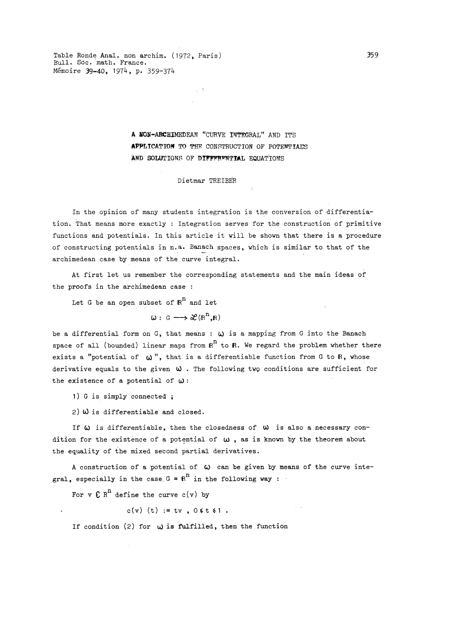Table Ronde Anal. non archim. (1972, Paris) **89 and Studies 1998**<br>Bull. Soc. math. France. Mémoire 39-40, 1974, p. 359-374

> A NON-ARCHIMEDEAN "CURVE INTEGRAL" AND ITS **APPLICATION TO THE CONSTRUCTION OF POTENTIALS** AND SOLUTIONS OF DIFFERENTIAL EQUATIONS

#### Dietmar TREIBE'R

 $\mathcal{L}^{\mathcal{A}}$  .

In the opinion of many students integration is the conversion of differentiation. That means more exactly : Integration serves for the construction of primitive functions and potentials. In this article it will be shown that there is a procedure of constructing potentials in n.a. Banach spaces, which is similar to that of the archimedean case by means of the curve integral.

At first let us remember the corresponding statements and the main ideas of the proofs in the archimedean case :

Let G be an open subset of  $\mathbb{R}^n$  and let

 $\omega: G \longrightarrow \mathcal{X}(R^n,R)$ 

be a differential form on G, that means :  $\omega$  is a mapping from G into the Banach space of all (bounded) linear maps from  $R<sup>n</sup>$  to R. We regard the problem whether there exists a "potential of  $\omega$ ", that is a differentiable function from G to R, whose derivative equals to the given **00 .** The following two conditions are sufficient for the existence of a potential of **oj :**

1) G is simply connected;

 $2)$   $\omega$  is differentiable and closed.

If **(0** is differentiable, then the closedness of **00** is also a necessary condition for the existence of a potential of  $\omega$ , as is known by the theorem about the equality of the mixed second partial derivatives.

A construction of a potential of **CO** can be given by means of the curve integral, especially in the case  $G = R<sup>n</sup>$  in the following way :

For v  $C$  R<sup>n</sup> define the curve c(v) by

 $c(v)$  (t) := tv,  $0 \le t \le 1$ .

If condition (2) for w is fulfilled, then the function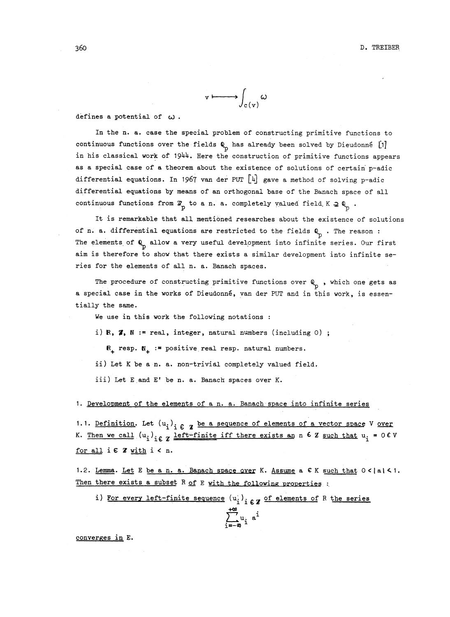

defines a potential of  $\omega$ .

In the n. a. case the special problem of constructing primitive functions to continuous functions over the fields  $\mathbb{Q}_n$  has already been solved by Dieudonné [1] in his classical work of 1944. Here the construction of primitive functions appears as a special case of a theorem about the existence of solutions of certain p-adic differential equations. In 1967 van der PUT  $\lceil \mu \rceil$  gave a method of solving p-adic differential equations by means of an orthogonal base of the Banach space of all continuous functions from  $Z_n$  to a n. a. completely valued field  $K \supseteq \mathbb{Q}_n$ .

It is remarkable that all mentioned researches about the existence of solutions of n. a. differential equations are restricted to the fields  $\mathbb{Q}_p$ . The reason : The elements of  $\mathbb{Q}_p$  allow a very useful development into infinite series. Our first aim is therefore to show that there exists a similar development into infinite series for the elements of all n. a. Banach spaces.

The procedure of constructing primitive functions over  $\mathbb{Q}_p$ , which one gets as a special case in the works of Dieudonne, van der PUT and in this work, is essentially the same.

We use in this work the following notations :

i)  $\mathbb{R}$ ,  $\mathbb{Z}$ ,  $\mathbb{N}$  := real, integer, natural numbers (including 0) ;

 $R_+$  resp.  $N_+$  := positive real resp. natural numbers.

ii) Let K be an. a. non-trivial completely valued field.

iii) Let E and E' be n. a. Banach spaces over K.

1. Development of the elements of a n. a. Banach space into infinite series

1.1. <u>Definition</u>. Let  $(u_i)_i$   $\epsilon$   $\bf{z}$  be a sequence of elements of a vector space V over K. Then we call  $(u_i)_{i \in \mathbb{Z}}$  left-finite iff there exists an n  $\epsilon$  Z such that  $u_i = 0 \epsilon v$ for all i € *1* with i *<* n.

1.2. <u>Lemma. Let</u> E be a n. a. Banach space over K. Assume a  $\epsilon$  K such that  $0 < |a| < 1$ . Then there exists a subset  $R$  of  $E$  with the following properties :

i) For every left-finite sequence  $(u_i)_i \varepsilon$  of elements of R the series

$$
\sum_{i=-\varpi}^{+\varpi}u_i\ a^i
$$

converges in E.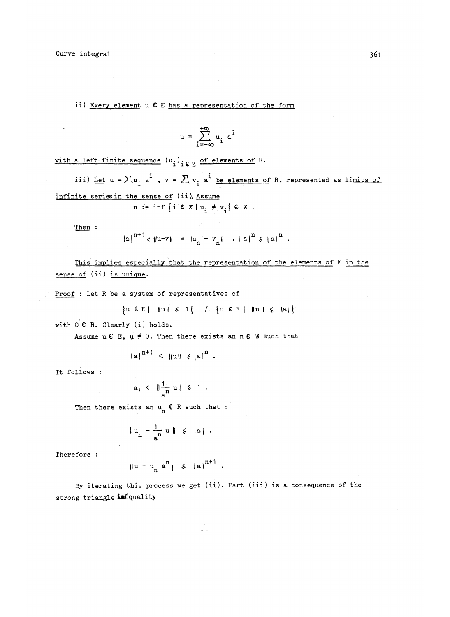ii) Every element  $u \in E$  has a representation of the form

$$
u = \sum_{i=-\infty}^{+\infty} u_i a^i
$$

with a left-finite sequence  $(u_i)_{i \in Z}$  of elements of R.

iii) Let  $u = \sum u_i a^i$ ,  $v = \sum v_i a^i$  <u>be elements of</u> R, represented as limits of infinite series in the sense of (ii). Assume  $n := \inf \{ i \in \mathbb{Z} \mid u_i \neq v_i \} \in \mathbb{Z}$ .

Then :

$$
|a|^{n+1} < ||u-v|| = ||u_n - v_n|| \cdot |a|^n \le |a|^n.
$$

This implies especially that the representation of the elements of E in the sense of (ii) is unique.

Proof : Let R be a system of representatives of

$$
\{u \in E \mid \text{full} \leq 1\} \quad / \quad \{u \in E \mid \text{full} \leq |a|\}
$$

with  $0 \in R$ . Clearly (i) holds.

Assume  $u \in E$ ,  $u \neq 0$ . Then there exists an  $n \in \mathbb{Z}$  such that

$$
|a|^{n+1} \leq \|u\| \leq |a|^{n} .
$$

It follows :

$$
|a| < \|\frac{1}{a}u\| \leq 1.
$$

Then there exists an u<sub>p</sub>  $\epsilon$  R such that

$$
\|u_n - \frac{1}{a^n} u\| \leq |a|.
$$

Therefore :

$$
\|u_n - u_n\|^2 \le \|u\|^2.
$$
  

$$
\|u - u_n\|^2 \le \|u\|^{2+1}.
$$

By iterating this process we get (ii). Part (iii) is a consequence of the strong triangle inequality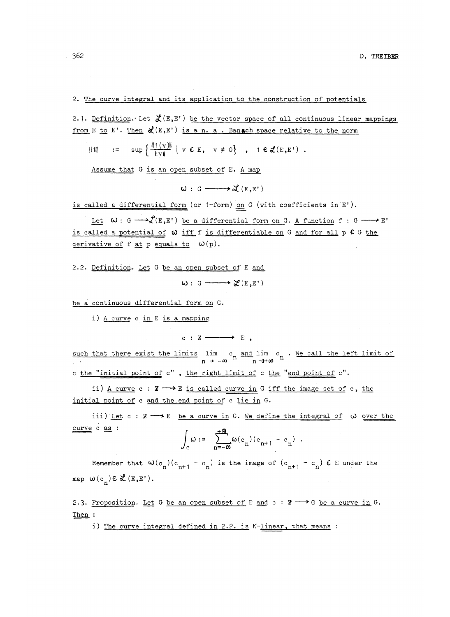2. The curve integral and its application to the construction of

2.1. Definition. Let  $\mathfrak{X}(E,E')$  be the vector space of all continuous linear mappings from E to E'. Then  $\mathcal{X}(E,E')$  is a n. a . Banach space relative to the norm

||1|| :=  $\sup \left\{ \frac{\|1(v)\|}{\|v\|} \mid v \in E, v \neq 0 \right\}$ ,  $1 \in \mathcal{L}(E,E')$ 

Assume that G is an open subset of E. A map

 $\omega : G \longrightarrow \mathcal{J}$ <sup>(E,E'</sup>)

is called a differential form (or 1-form) on G (with coefficients in E').

Let  $\omega:G\longrightarrow\mathcal{L}(E,E')$  be a differential form on G. A function  $f : G\longrightarrow E'$ is called a potential of  $\omega$  iff f is differentiable on G and for all p  $\epsilon$  G the derivative of f at p equals to  $\omega(p)$ .

2.2. <u>Definition</u>. <u>Let</u> G <u>be an open subset of</u> E and  $\omega: G \longrightarrow \mathcal{X}(E,E)$ 

$$
\omega: G \longrightarrow \mathfrak{X}(E,E')
$$

be a continuous differential form on G.

i) A curve c in E is a mapping

 $c: Z \longrightarrow E$ ,

such that there exist the limits  $\lim_{n \to \infty} c_n$  and  $\lim_{n \to \infty} c_n$ . We call the left limit c the "initial point of c", the right limit of c the "end point of c".

ii) A curve c :  $Z \longrightarrow E$  is called curve in G iff the image set of c, the initial point of c and the.end point of c lie in G.

independent of c and the end point of c if ein  $\sigma$ .<br>iii) Let c :  $\mathbb{Z} \longrightarrow \mathbb{R}$  be a curve in G. We define the integral of  $\omega$  over t  $\frac{1}{2}$  $\sqrt{\omega:= \frac{d^2}{2}}$ 

$$
\int_{c} \omega := \sum_{n=-\infty}^{+\infty} \omega(c_n) (c_{n+1} - c_n)
$$

Remember that  $\omega(c_n)(c_{n+1} - c_n)$  is the image of  $(c_{n+1} - c_n) \in E$  under the map  $\omega(c_n) \in \mathcal{L}(E,E').$ 

2.3. Proposition. *Le^* G be an open subset of E and c : 2 ——^G be a curve in G.  $\frac{2.3}{\pi}$ Then :

i) The curve integral defined in 2.2. is K-linear, that means :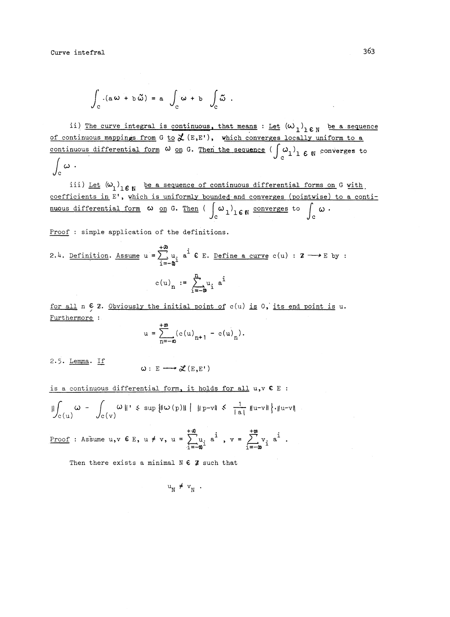$$
\int_C \cdot (a \omega + b \tilde{\omega}) = a \int_C \omega + b \int_C \tilde{\omega}.
$$

ii) The curve integral is continuous, that means : Let  $(\omega_1)_{1 \in \mathbb{N}}$  be a sequence of continuous mappings from G to  $\chi$  (E,E'), which converges locally uniform to a continuous differential form  $\omega$  on G. Then the sequence  $(\int_{c} \omega_{1})_{1}$   $\epsilon$   $\mathbb{N}$  converges to

 $\int_{\rm c}$   $\omega$  .

iii) Let  $(\omega_1)_{1 \in \mathbb{N}}$  be a sequence of continuous differential forms on G with coefficients in E', which is uniformly bounded and converges (pointwise) to a continuous differential form  $\omega$  on G. Then  $(\int_{c} \omega_{1})_{1 \in \mathbb{N}}$  converges to  $\int_{c} \omega$ .

Proof : simple application of the definitions.

2.4. Definition. Assume 
$$
u = \sum_{i=-0}^{+0} u_i
$$
  $a^i \in E$ . Define a curve  $c(u) : \mathbb{Z} \longrightarrow E$  by :  

$$
c(u)_n := \sum_{i=-0}^{n} u_i a^i
$$

for all  $n \in \mathbb{Z}$ . Obviously the initial point of  $c(u)$  is  $0$ , its end point is u. Furthermore :

$$
u = \sum_{n=-\infty}^{+\infty} (c(u)_{n+1} - c(u)_{n}).
$$

2.5. Lemma. If

$$
\omega: E \longrightarrow \mathcal{L}(E, E')
$$

is a continuous differential form, it holds for all u,v € E :  $\iint_{C(u)} \omega - \int_{C(v)} \omega || \cdot \xi \sup \{ ||\omega(p)|| \mid ||p-v|| \leq \frac{1}{|a|} ||u-v|| \} \cdot ||u-v||$  $+\infty$   $+\infty$ 

Proof: Assume 
$$
u, v \in E
$$
,  $u \neq v$ ,  $u = \sum_{i=-\infty}^{+\infty} u_i \cdot a^i$ ,  $v = \sum_{i=-\infty}^{+\infty} v_i \cdot a^i$ .

Then there exists a minimal  $N \in \mathbb{Z}$  such that

 $u_N \neq v_N$ .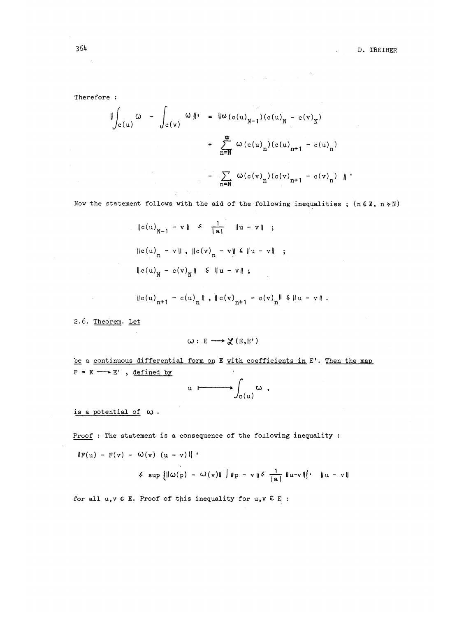$\sim$   $\sim$ 

Therefore :

$$
\iint_{C(u)} \omega - \int_{C(v)} \omega \, \iint_{\mathfrak{m}} = \int \omega (c(u)_{N-1})(c(u)_{N} - c(v)_{N})
$$

$$
+ \sum_{n=N}^{\infty} \omega (c(u)_{n})(c(u)_{n+1} - c(u)_{n})
$$

$$
- \sum_{n=N}^{\infty} \omega (c(v)_{n})(c(v)_{n+1} - c(v)_{n}) \parallel
$$

Now the statement follows with the aid of the following inequalities ; (n6Z, n >N)

$$
\|c(u)_{N-1} - v\| \le \frac{1}{|a|} \|u - v\| ;
$$
  

$$
\|c(u)_{n} - v\|, \|c(v)_{n} - v\| \le \|u - v\| ;
$$
  

$$
\|c(u)_{N} - c(v)_{N}\| \le \|u - v\| ;
$$

$$
\|c(u)_{n+1} - c(u)_{n}\|, \, \|c(v)_{n+1} - c(v)_{n}\| \le \|u - v\|.
$$

2.6. Theorem. Let

$$
\omega: E \longrightarrow \mathcal{X}(E, E')
$$

be a continuous differential form on E with coefficients in E<sup>t</sup>. Then the map  $F = E \longrightarrow E'$ , defined by  $\mathcal{A}^{\mathcal{A}}$ 

$$
u\ \longmapsto \int_{c(u)}\omega\ ,
$$

is a potential of **co .**

Proof : The statement is a consequence of the following inequality :

$$
\|\mathbf{F}(u) - \mathbf{F}(v) - \omega(v) (u - v)\|'
$$
  
\$\text{sup } \{ ||\omega(p) - \omega(v)|| | \mathbf{F} - v \}^{\frac{1}{2}} \|\mathbf{F} - v\| \le \frac{1}{|a|} \|u - v\| \}\$.

for all  $u,v \in E$ . Proof of this inequality for  $u,v \in E$  ;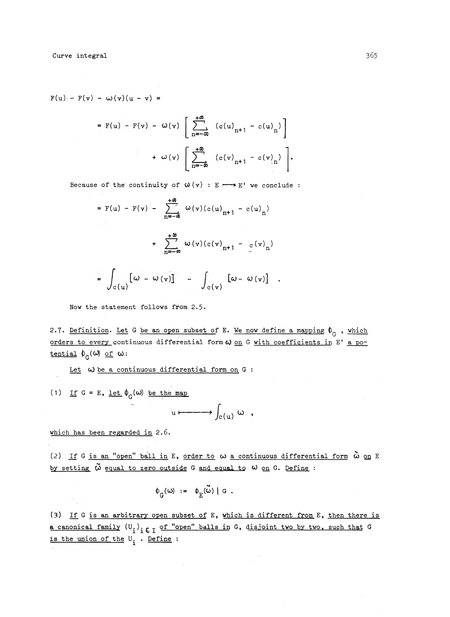$F(u) = F(v) - \omega(v)(u - v) =$ 

$$
= F(u) - F(v) - \omega(v) \left[ \sum_{n=-\infty}^{+\infty} (c(u)_{n+1} - c(u)_{n}) \right]
$$

$$
+ \omega(v) \left[ \sum_{n=-\infty}^{+\infty} (c(v)_{n+1} - c(v)_{n}) \right].
$$

Because of the continuity of  $\omega(v)$  : E  $\longrightarrow$  E' we conclude :

$$
= F(u) - F(v) - \sum_{n=-\infty}^{+\infty} \omega(v)(c(u)_{n+1} - c(u)_n)
$$

$$
+ \sum_{n=-\infty}^{+\infty} \omega(v)(c(v)_{n+1} - c(v)_n)
$$

$$
= \int_{c(u)} [\omega - \omega(v)] - \int_{c(v)} [\omega - \omega(v)] .
$$

Now the statement follows from 2.5.

2.7. Definition. Let G be an open subset of E. We now define a mapping  $\mathfrak{b}_c$  , which orders to every continuous differential form  $\omega$  on G with coefficients in E' a potential  $\phi_c(\omega)$  of  $\omega$ :

Let  $\omega$  be a continuous differential form on G :

(1) If  $G = E$ , <u>let</u>  $\phi_G(\omega)$  be the map

$$
u\longmapsto \int_{C(u)}\omega\ ,
$$

which has been regarded in 2.6.

(2) If G is an "open" ball in E, order to  $\omega$  a continuous differential form  $\tilde{\omega}$  on E by setting  $\tilde{\omega}$  equal to zero outside G and equal to  $\omega$  on G. Define :

$$
\phi_{G}(\omega) \ := \ \phi_{E}(\overset{\sim}{\omega}) \ | \ \mathrm{G} \ .
$$

(3) If G is an arbitrary open subset of E, which is different from E, then there is a canonical family  $(U, )$ .  $_{r}$  of "open" balls in G, disjoint two by two, such that G (3) If G is an arbitrary of  $\mathbf{e}$  canonical family  $(\mathbf{U}_i)_{i \in I}$ is the union of the U<sub>i</sub> . Define :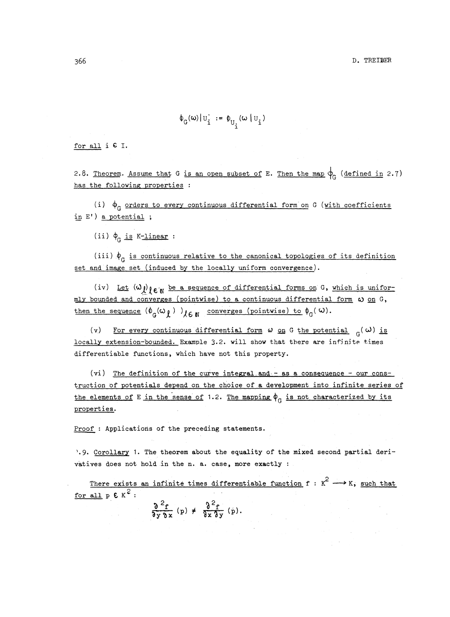$$
\phi_{\mathrm{G}}(\omega)\,|\, \mathrm{u}_{\mathrm{i}}^+ \;:=\; \phi_{\mathrm{U}_{\mathrm{i}}}^-(\omega \mid \mathrm{u}_{\mathrm{i}}^-)
$$

for all i  $C$  I.

2.8. Theorem. Assume that G is an open subset of E. Then the map  $\phi$  (defined in 2.7) 2.8. Theorem. Assume that G i

(i)  $\phi$  orders to every continuous differential form on G (vith coefficient... (i)  $\phi_G$  orders to every continuous differential form on G (with coefficient

(ii)  $\phi_{\alpha}$  is K-linear :

 $\frac{1}{10}$   $\frac{1}{10}$  is continuous relative to the canonical topologies of its definitional topologies of its definition  $\gamma_{\rm c}$  is continuous relative to the canonical topology

(iv) Let  $(\omega)$ )  $\epsilon$  we a sequence of differential forms on G, which is uniformany bounded and converges (pointwise) to a continuous differential forms on  $G$ , which is unit of  $\lim_{n \to \infty} \log_{10}(e/n)$  and converges (pointwise) to a continuous differential form  $\infty$  on mly bounded and converges (pointwise) to a continuous differentiation of  $\mathbb{E}[\mathbf{c}_0 \mathbf{w}]$  (converges (pointwise) to a continuous differentiation of  $\mathbb{E}[\mathbf{c}_0 \mathbf{w}]$ ) is converges (pointwise) to  $\mathbf{0} \cdot (\mathbf{w})$ 

 $(v)$  For every continuous differential form  $\omega$  on G the potential  $(v)$ ) (v) <u>for every continuous differential form</u>  $\omega$  on  $\sigma$  the potential  $\sigma$  ( $\omega$ )<br>locally extension-bounded. Example 3.2 will show that there are infinite times locally extension-bounded. Example 3.2. will show that there are infinite times differentiable functions, which have not this property.

ifferentiable functions, which have not this property.<br>(vi) The definition of the curve integral and - as a consequence - our co (vi) <u>The definition of the curve integral and - as a consequence - our cons-</u><br>truction of potentials depend on the choice of a development into infinite series truction of potentials depend on the choice of a development into infinite series of the elements of E in the sense of 1.2. The mapping  $\phi_G$  is not characterized by its properties.

Proof : Applications of the preceding statements.

-.9. Corollary 1 . The theorem about the equality of the mixed second partial deri $v \cdot 9.$  Corollary 1. The theorem about the equality of  $v$ 

There exists an infinite times differentiable function  $f : K^2 \longrightarrow K$ , such that

 $\frac{\partial^2 f}{\partial x \, \partial x}$  (p)  $\neq \frac{\partial^2 f}{\partial x \, \partial x}$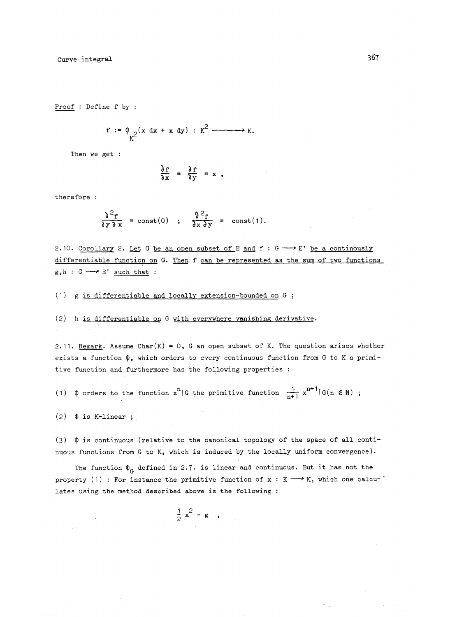Proof : Define f by :

$$
f := \phi_{\kappa^2}(x \, dx + x \, dy) : \kappa^2 \longrightarrow K.
$$

Then we get :

$$
\frac{\partial f}{\partial x} = \frac{\partial f}{\partial y} = x ,
$$

therefore :

$$
\frac{\partial^2 f}{\partial y \partial x} = \text{const}(0) \quad ; \quad \frac{\partial^2 f}{\partial x \partial y} = \text{const}(1).
$$

2. 10. Corollary 2. Let G be an open subset of E and f : G  $\longrightarrow$  E' be a continously differentiable function on G. Then f can be represented as the sum of two functions  $g, h : G \longrightarrow E'$  such that :

(1)  $g$  is differentiable and locally extension-bounded on  $G$ ;

#### (2) h is differentiable on G with everywhere vanishing derivative.

2.11. Remark. Assume Char $(K) = 0$ , G an open subset of K. The question arises whether exists a function  $\phi$ , which orders to every continuous function from G to K a primitive function and furthermore has the following properties :

(1)  $\phi$  orders to the function  $x^n | G$  the primitive function  $\frac{1}{n+1} x^{n+1} | G(n \in \mathbb{N})$ ;

 $(2)$   $\phi$  is K-linear;

(3)  $\phi$  is continuous (relative to the canonical topology of the space of all continuous functions from G to K, which is induced by the locally uniform convergence).

The function  $\phi_G$  defined in 2.7. is linear and continuous. But it has not the property (1) : For instance the primitive function of  $x : K \longrightarrow K$ , which one calculates using the method described above is the following :

$$
\frac{1}{2} x^2 - g \quad ,
$$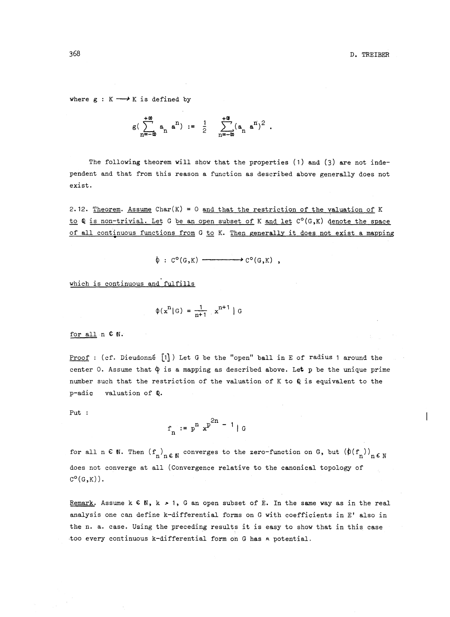$\overline{\phantom{a}}$ 

where  $g: K \longrightarrow K$  is defined by

$$
g(\sum_{n=-\infty}^{+\infty} a_n a^n) := \frac{1}{2} \sum_{n=-\infty}^{+\infty} (a_n a^n)^2.
$$

The following theorem will show that the properties  $(1)$  and  $(3)$  are not independent and that from this reason a function as described above generally does not exist.

2.12. Theorem. Assume Char(K) = 0 and that the restriction of the valuation of K to Q is non-trivial. Let G be an open subset of K and let  $C^{\circ}(G,K)$  denote the space of all continuous functions from G to K. Then generally it does not exist a mapping

 $\phi : C^{\circ}(G,K) \longrightarrow C^{\circ}(G,K)$ 

which is continuous and fulfills

$$
\phi(x^n | G) = \frac{1}{n+1} x^{n+1} | G
$$

for all  $n \in \mathbb{N}$ .

Proof : (cf. Dieudonné [1]) Let G be the "open" ball in E of radius 1 around the center 0. Assume that  $\phi$  is a mapping as described above. Let p be the unique prime number such that the restriction of the valuation of K to  $\mathbb Q$  is equivalent to the p-adic valuation of Q.

Put :

$$
f_n := p^n x^{p^{2n} - 1} | G
$$

for all n  $\in$  N. Then  $(f_n)_{n \in \mathbb{N}}$  converges to the zero-function on G, but  $(\phi(f_n))_{n \in \mathbb{N}}$ does not converge at all (Convergence relative to the canonical topology of  $C^{\circ}(G,K)$ ).

Remark. Assume  $k \in N$ ,  $k > 1$ , G an open subset of E. In the same way as in the real analysis one can define k-differential forms on G with coefficients in E' also in the n. a. case. Using the preceding results it is easy to show that in this case •too every continuous k-differential form on G has a. potential.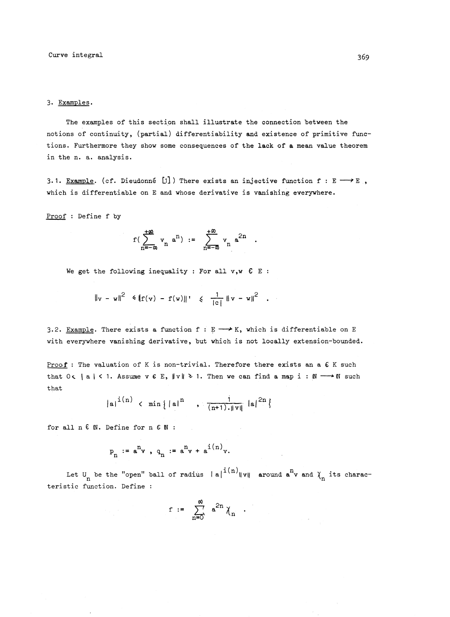#### 3. Examples.

The examples of this section shall illustrate the connection between the notions of continuity, (partial) differentiability and existence of primitive functions. Furthermore they show some consequences of the lack of a mean value theorem in the n. a. analysis.

3.1. Example. (cf. Dieudonné [1]) There exists an injective function  $f : E \longrightarrow E$ , which is differentiable on E and whose derivative is vanishing everywhere.

Proof : Define f by

$$
f(\sum_{n=-\infty}^{+\infty} v_n a^n) := \sum_{n=-\infty}^{+\infty} v_n a^{2n}
$$
.

We get the following inequality : For all  $v,w \in E$  :

$$
\|v - w\|^2 \le \|f(v) - f(w)\|^{+} \le \frac{1}{|c|} \|v - w\|^2.
$$

3.2. Example. There exists a function  $f : E \longrightarrow K$ , which is differentiable on E with everywhere vanishing derivative, but which is not locally extension-bounded.

P<u>roof</u>: The valuation of K is non-trivial. Therefore there exists an a *E* K such<br>that 0< | a | < 1. Assume v 6 E, ||v|| > 1. Then we can find a map i : N ----> N such that

$$
|a|^{1(n)} \leq \min\{|a|^{n} \quad , \quad \frac{1}{(n+1).||v||} |a|^{2n} \}
$$

for all  $n \in \mathbb{N}$ . Define for  $n \in \mathbb{N}$ :

$$
p_n := a^n v
$$
,  $q_n := a^n v + a^{i(n)} v$ .

Let U<sub>n</sub> be the "open" ball of radius  $\|a\|^{1(n)}$   $\|v\|$  around  $a^{\text{n}}v$  and  $\chi_{\text{n}}$  its characteristic function. Define :

$$
f \ := \ \sum_{n=0}^{\infty} \ a^{2n} \chi_n \ .
$$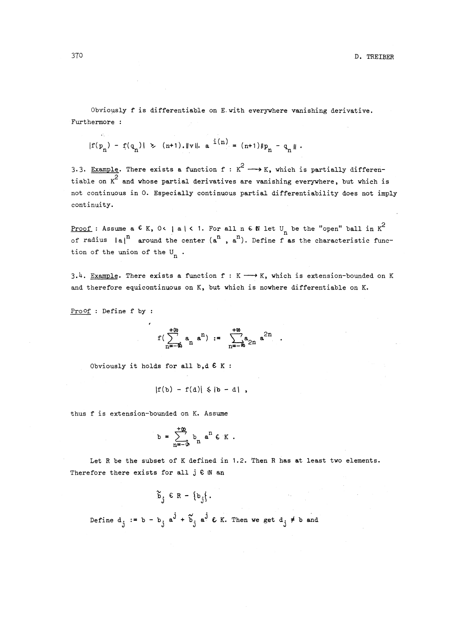Obviously f is differentiable on E. with everywhere vanishing derivative. Furthermore :

$$
|f(p_n) - f(q_n)| \gg (n+1).||v|| \cdot a^{-1(n)} = (n+1)||p_n - q_n||.
$$

3.3. Example. There exists a function  $f: K^2 \longrightarrow K$ , which is partially differentiable on  $K^2$  and whose partial derivatives are vanishing everywhere, but which is not continuous in 0. Especially continuous partial differentiability does not imply continuity.

<u>Proof</u>: Assume  $a \in K$ ,  $0 \le |a| \le 1$ . For all  $n \in \mathbb{N}$  let  $U_{\perp}$  be the "open" ball in  $K^2$ of radius  $|a|^n$  around the center  $(a^n, a^n)$ . Define f as the characteristic function of the union of the U<sub>r</sub>

3.4. Example. There exists a function  $f : K \longrightarrow K$ , which is extension-bounded on K and therefore equicontinuous on K, but which is nowhere differentiable on K.

Proof : Define f by :

$$
f(\sum_{n=-\infty}^{+\infty} a_n a^n) := \sum_{n=-\infty}^{+\infty} a_{2n} a^{2n}
$$

Obviously it holds for all  $b, d \in K$ :

$$
|f(b) - f(d)| \le |b - d|
$$
,

thus f is extension-bounded on K. Assume  

$$
b = \sum_{n=-b}^{+0} b_n a^n 6 K.
$$

Let R be the subset of K defined in 1.2 . Then R has at least two elements. Therefore there exists for all  $j \in M$  an

$$
\widetilde{b}_j \in R - \{b_j\}.
$$

Define  $d_j := b - b_j a^j + \tilde{b}_j a^j \in K$ . Then we get  $d_j \neq b$  and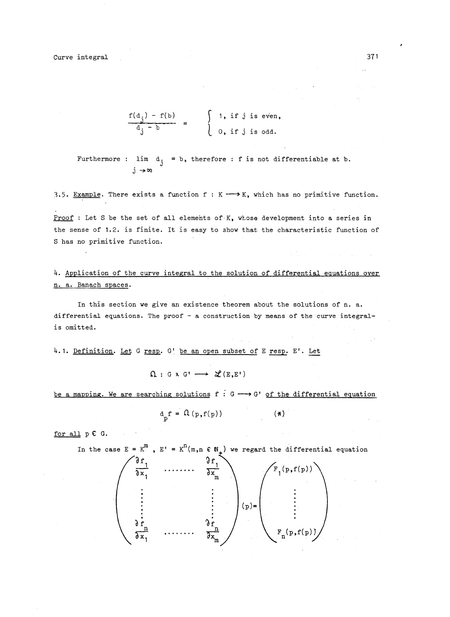Curve integral 371

$$
\frac{f(d_j) - f(b)}{d_j - b} = \begin{cases} 1, & \text{if } j \text{ is even,} \\ 0, & \text{if } j \text{ is odd.} \end{cases}
$$

Furthermore : lim  $d_j = b$ , therefore : f is not differentiable at b.  $j \rightarrow \infty$ 

3.5. Example. There exists a function  $f : K \longrightarrow K$ , which has no primitive function.

Proof : Let S be the set of all elements of K, whose development into a series in the sense of 1.2 . is finite. It is easy to show that the characteristic function of S has no primitive function.

4. Application of the curve integral to the solution of differential equations over n. a. Banach spaces.

In this section we give an existence theorem about the solutions of n. a. differential equations. The proof - a construction by means of the curve integralis omitted.

4.1. Definition. Let G resp. G' be an open subset of E resp. E'. Let

 $\Omega$  : G x G'  $\longrightarrow$   $\mathscr{L}(\mathbb{E}, \mathbb{E})$ 

be a mapping. We are searching solutions  $f : G \longrightarrow G'$  of the differential equation

$$
d_{p}f = \Omega(p, f(p))
$$
 (\*)

for all p C G.

 $\mathcal{L}$ 

In the case 
$$
E = K^m
$$
,  $E' = K^n(m, n \in N)$  we regard the differential equation  
\n
$$
\begin{pmatrix}\n\frac{\partial f_1}{\partial x_1} & \cdots & \frac{\partial f_1}{\partial x_m} \\
\vdots & \vdots & \ddots & \vdots \\
\frac{\partial f_n}{\partial x_1} & \cdots & \frac{\partial f_n}{\partial x_m}\n\end{pmatrix}
$$
\n $(p) = \begin{pmatrix}\nF_1(p, f(p)) \\
\vdots \\
F_n(p, f(p))\n\end{pmatrix}$ 

-19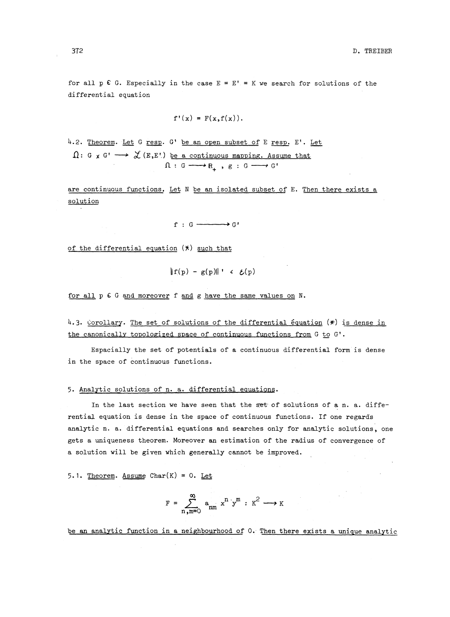for all  $p \in G$ . Especially in the case  $E = E' = K$  we search for solutions of the differential equation

$$
f'(x) = F(x, f(x)).
$$

4.2. Theorem. Let G resp. G' be an open subset of E resp. E'. Let  $\Omega: G \times G' \longrightarrow \mathcal{X}(E,E')$  be a continuous mapping. Assume that  $\Omega: G \longrightarrow \mathbb{R}_{+}$ ,  $g: G \longrightarrow G'$ 

are continuous functions. Let N be an isolated subset of E. Then there exists a solution

$$
f\;:\;G\longrightarrow G'
$$

of the differential equation  $(*)$  such that

$$
\|f(p) - g(p)\| \leq \mathcal{L}(p)
$$

for all  $p \in G$  and moreover  $f$  and  $g$  have the same values on  $N$ .

U.3. Corollary. The set of solutions of the differential equation *{¥'}* is dense in the canonically topologized space of continuous functions from G to G'.

Espacially the set of potentials of a continuous differential form is dense in the space of continuous functions.

#### 5. Analytic solutions of n. a. differential equations.

In the last section we have seen that the set of solutions of a n. a. differential equation is dense in the space of continuous functions. If one regards analytic n. a. differential equations and searches only for analytic solutions, one gets a uniqueness theorem. Moreover an estimation of the radius of convergence of a solution will be given which generally cannot be improved.

5.1. Theorem. Assume  $Char(K) = 0$ . Let

$$
F = \sum_{n,m=0}^{\infty} a_{nm} x^{n} y^{m} : K^{2} \longrightarrow K
$$

be an analytic function in a neighbourhood of 0. Then there exists a unique analytic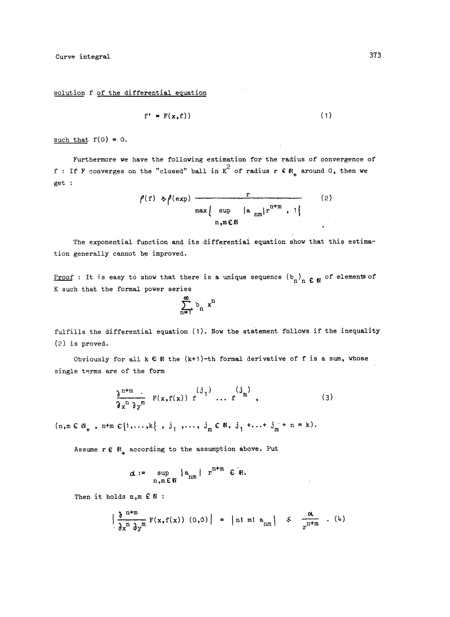Curve integral 373

solution f of the differential equation

$$
f' = F(x, f))
$$
 (1)

such that  $f(0) = 0$ .

Furthermore we have the following estimation for the radius of convergence of f : If F converges on the "closed" ball in  $K^2$  of radius r  $\epsilon$   $R_1$  around 0, then we get :

$$
\rho(f) \gg \rho(\exp) \xrightarrow{\mathbf{r}} \max\left\{ \sup_{\mathbf{m}, \mathbf{m} \in \mathbb{N}} |a_{\mathbf{m}\mathbf{m}}| r^{n+m}, 1 \right\}
$$
 (2)

The exponential function and its differential equation show that this estimation generally cannot be improved.

<u>Proof</u>: It is easy to show that there is a unique sequence  $(b_n)_{n \in \mathbb{N}}$  of elements of K such that the formal power series

$$
\sum_{n=1}^{\infty} b_n \ x^n
$$

fulfills the differential equation (1) . Now the statement follows if the inequality (2) is proved.

Obviously for all  $k \in N$  the  $(k+1)-th$  formal derivative of f is a sum, whose single terms are of the form

$$
\frac{\partial^{n+m}}{\partial x^n \partial y^m} \cdot F(x, f(x)) \cdot f^{(j_1)} \dots f^{(j_m)} , \qquad (3)
$$

 $(n,m \in \mathbb{N}_+ , n+m \in \{1,\ldots,k\} , j_1, \ldots, j_m \in \mathbb{N}, j_1 + \ldots + j_m + n = k).$ 

Assume  $r \in \mathbb{R}_+$  according to the assumption above. Put

$$
\alpha := \sup_{n,m \in \mathbb{N}} |a_{nm}| r^{n+m} \varepsilon \varepsilon.
$$

Then it holds n,m  $\in \mathbb{N}$  :

$$
\left|\frac{\partial^{n+m}}{\partial x^n \partial y^m} F(x, f(x)) (0,0)\right| = \left|\begin{array}{ccc} n! & m! & a_{nm} \end{array}\right| \leq \frac{\alpha}{r^{n+m}} \quad (4)
$$